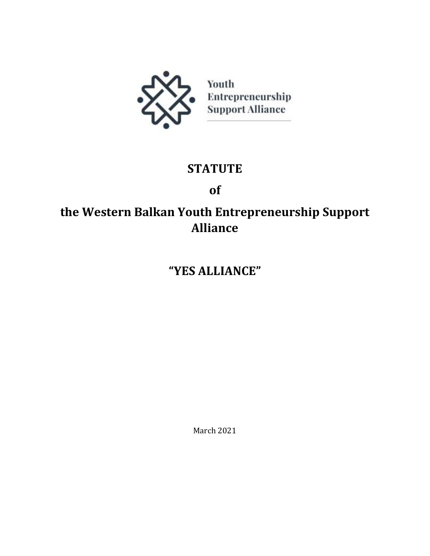

# **STATUTE**

# **of**

# **the Western Balkan Youth Entrepreneurship Support Alliance**

# **"YES ALLIANCE"**

March 2021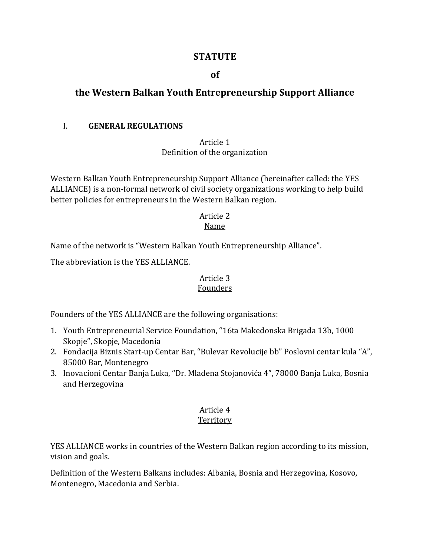## **STATUTE**

## **of**

# **the Western Balkan Youth Entrepreneurship Support Alliance**

#### I. **GENERAL REGULATIONS**

#### Article 1 Definition of the organization

Western Balkan Youth Entrepreneurship Support Alliance (hereinafter called: the YES ALLIANCE) is a non-formal network of civil society organizations working to help build better policies for entrepreneurs in the Western Balkan region.

#### Article 2 Name

Name of the network is "Western Balkan Youth Entrepreneurship Alliance".

The abbreviation is the YES ALLIANCE.

#### Article 3 Founders

Founders of the YES ALLIANCE are the following organisations:

- 1. Youth Entrepreneurial Service Foundation, "16ta Makedonska Brigada 13b, 1000 Skopje", Skopje, Macedonia
- 2. Fondacija Biznis Start-up Centar Bar, "Bulevar Revolucije bb" Poslovni centar kula "A", 85000 Bar, Montenegro
- 3. Inovacioni Centar Banja Luka, "Dr. Mladena Stojanovića 4", 78000 Banja Luka, Bosnia and Herzegovina

# Article 4

## **Territory**

YES ALLIANCE works in countries of the Western Balkan region according to its mission, vision and goals.

Definition of the Western Balkans includes: Albania, Bosnia and Herzegovina, Kosovo, Montenegro, Macedonia and Serbia.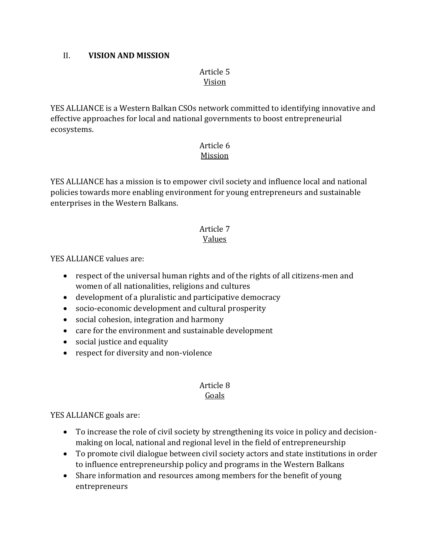#### II. **VISION AND MISSION**

#### Article 5 Vision

YES ALLIANCE is a Western Balkan CSOs network committed to identifying innovative and effective approaches for local and national governments to boost entrepreneurial ecosystems.

#### Article 6 Mission

YES ALLIANCE has a mission is to empower civil society and influence local and national policies towards more enabling environment for young entrepreneurs and sustainable enterprises in the Western Balkans.

#### Article 7 Values

YES ALLIANCE values are:

- respect of the universal human rights and of the rights of all citizens-men and women of all nationalities, religions and cultures
- development of a pluralistic and participative democracy
- socio-economic development and cultural prosperity
- social cohesion, integration and harmony
- care for the environment and sustainable development
- social justice and equality
- respect for diversity and non-violence

#### Article 8 Goals

## YES ALLIANCE goals are:

- To increase the role of civil society by strengthening its voice in policy and decisionmaking on local, national and regional level in the field of entrepreneurship
- To promote civil dialogue between civil society actors and state institutions in order to influence entrepreneurship policy and programs in the Western Balkans
- Share information and resources among members for the benefit of young entrepreneurs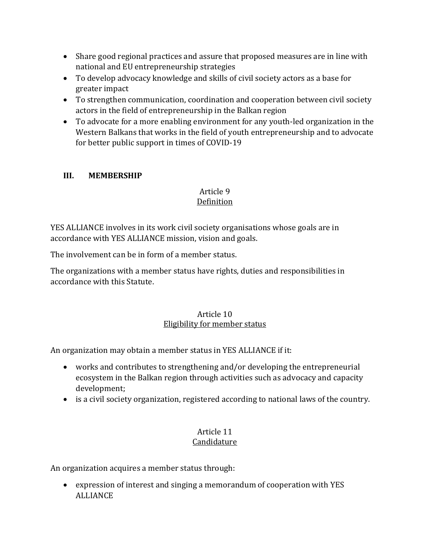- Share good regional practices and assure that proposed measures are in line with national and EU entrepreneurship strategies
- To develop advocacy knowledge and skills of civil society actors as a base for greater impact
- To strengthen communication, coordination and cooperation between civil society actors in the field of entrepreneurship in the Balkan region
- To advocate for a more enabling environment for any youth-led organization in the Western Balkans that works in the field of youth entrepreneurship and to advocate for better public support in times of COVID-19

## **III. MEMBERSHIP**

#### Article 9 Definition

YES ALLIANCE involves in its work civil society organisations whose goals are in accordance with YES ALLIANCE mission, vision and goals.

The involvement can be in form of a member status.

The organizations with a member status have rights, duties and responsibilities in accordance with this Statute.

## Article 10 Eligibility for member status

An organization may obtain a member status in YES ALLIANCE if it:

- works and contributes to strengthening and/or developing the entrepreneurial ecosystem in the Balkan region through activities such as advocacy and capacity development;
- is a civil society organization, registered according to national laws of the country.

#### Article 11 Candidature

An organization acquires a member status through:

 expression of interest and singing a memorandum of cooperation with YES ALLIANCE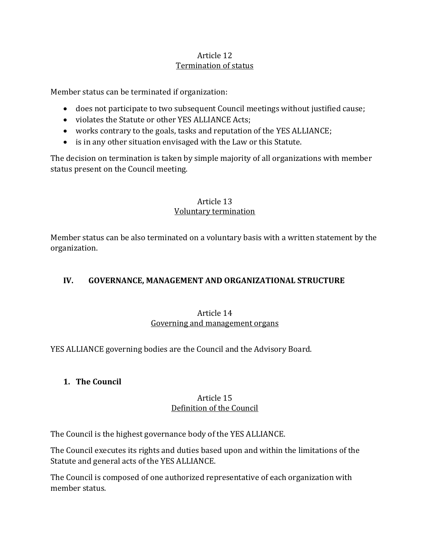## Article 12 Termination of status

Member status can be terminated if organization:

- does not participate to two subsequent Council meetings without justified cause;
- violates the Statute or other YES ALLIANCE Acts;
- works contrary to the goals, tasks and reputation of the YES ALLIANCE;
- is in any other situation envisaged with the Law or this Statute.

The decision on termination is taken by simple majority of all organizations with member status present on the Council meeting.

## Article 13 Voluntary termination

Member status can be also terminated on a voluntary basis with a written statement by the organization.

## **IV. GOVERNANCE, MANAGEMENT AND ORGANIZATIONAL STRUCTURE**

## Article 14 Governing and management organs

YES ALLIANCE governing bodies are the Council and the Advisory Board.

## **1. The Council**

## Article 15 Definition of the Council

The Council is the highest governance body of the YES ALLIANCE.

The Council executes its rights and duties based upon and within the limitations of the Statute and general acts of the YES ALLIANCE.

The Council is composed of one authorized representative of each organization with member status.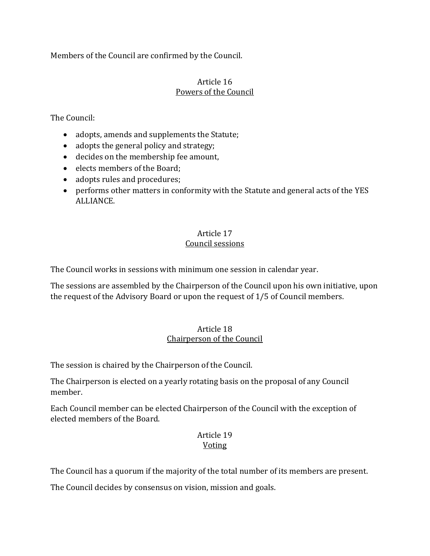Members of the Council are confirmed by the Council.

#### Article 16 Powers of the Council

The Council:

- adopts, amends and supplements the Statute;
- adopts the general policy and strategy;
- decides on the membership fee amount,
- elects members of the Board;
- adopts rules and procedures;
- performs other matters in conformity with the Statute and general acts of the YES ALLIANCE.

## Article 17 Council sessions

The Council works in sessions with minimum one session in calendar year.

The sessions are assembled by the Chairperson of the Council upon his own initiative, upon the request of the Advisory Board or upon the request of 1/5 of Council members.

## Article 18 Chairperson of the Council

The session is chaired by the Chairperson of the Council.

The Chairperson is elected on a yearly rotating basis on the proposal of any Council member.

Each Council member can be elected Chairperson of the Council with the exception of elected members of the Board.

## Article 19 Voting

The Council has a quorum if the majority of the total number of its members are present.

The Council decides by consensus on vision, mission and goals.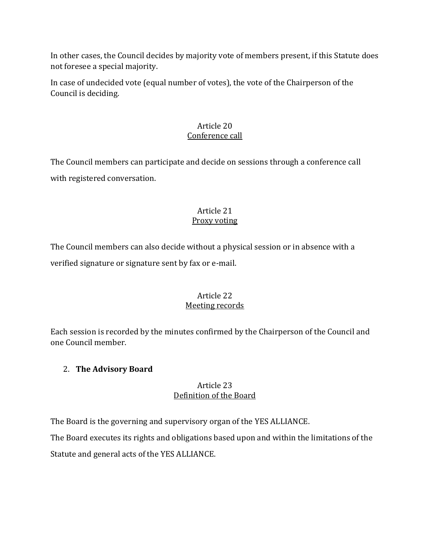In other cases, the Council decides by majority vote of members present, if this Statute does not foresee a special majority.

In case of undecided vote (equal number of votes), the vote of the Chairperson of the Council is deciding.

## Article 20 Conference call

The Council members can participate and decide on sessions through a conference call with registered conversation.

#### Article 21 Proxy voting

The Council members can also decide without a physical session or in absence with a verified signature or signature sent by fax or e-mail.

## Article 22 Meeting records

Each session is recorded by the minutes confirmed by the Chairperson of the Council and one Council member.

## 2. **The Advisory Board**

## Article 23 Definition of the Board

The Board is the governing and supervisory organ of the YES ALLIANCE.

The Board executes its rights and obligations based upon and within the limitations of the Statute and general acts of the YES ALLIANCE.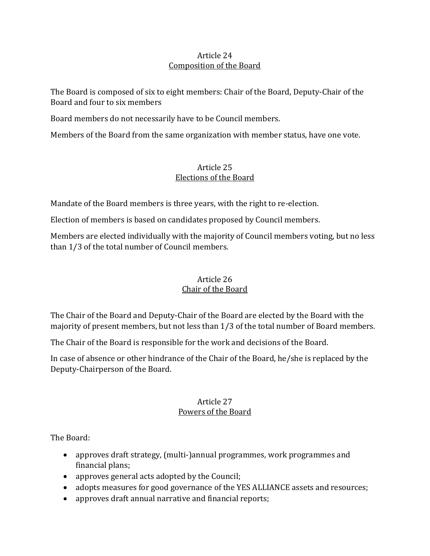## Article 24 Composition of the Board

The Board is composed of six to eight members: Chair of the Board, Deputy-Chair of the Board and four to six members

Board members do not necessarily have to be Council members.

Members of the Board from the same organization with member status, have one vote.

## Article 25 Elections of the Board

Mandate of the Board members is three years, with the right to re-election.

Election of members is based on candidates proposed by Council members.

Members are elected individually with the majority of Council members voting, but no less than 1/3 of the total number of Council members.

## Article 26 Chair of the Board

The Chair of the Board and Deputy-Chair of the Board are elected by the Board with the majority of present members, but not less than 1/3 of the total number of Board members.

The Chair of the Board is responsible for the work and decisions of the Board.

In case of absence or other hindrance of the Chair of the Board, he/she is replaced by the Deputy-Chairperson of the Board.

## Article 27 Powers of the Board

The Board:

- approves draft strategy, (multi-)annual programmes, work programmes and financial plans;
- approves general acts adopted by the Council;
- adopts measures for good governance of the YES ALLIANCE assets and resources;
- approves draft annual narrative and financial reports;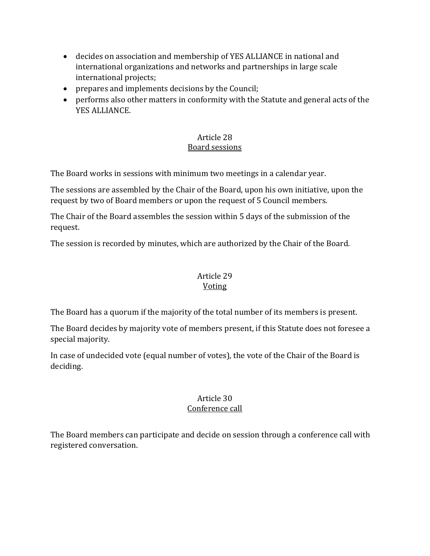- decides on association and membership of YES ALLIANCE in national and international organizations and networks and partnerships in large scale international projects;
- prepares and implements decisions by the Council;
- performs also other matters in conformity with the Statute and general acts of the YES ALLIANCE.

## Article 28 Board sessions

The Board works in sessions with minimum two meetings in a calendar year.

The sessions are assembled by the Chair of the Board, upon his own initiative, upon the request by two of Board members or upon the request of 5 Council members.

The Chair of the Board assembles the session within 5 days of the submission of the request.

The session is recorded by minutes, which are authorized by the Chair of the Board.

#### Article 29 Voting

## The Board has a quorum if the majority of the total number of its members is present.

The Board decides by majority vote of members present, if this Statute does not foresee a special majority.

In case of undecided vote (equal number of votes), the vote of the Chair of the Board is deciding.

# Article 30

## Conference call

The Board members can participate and decide on session through a conference call with registered conversation.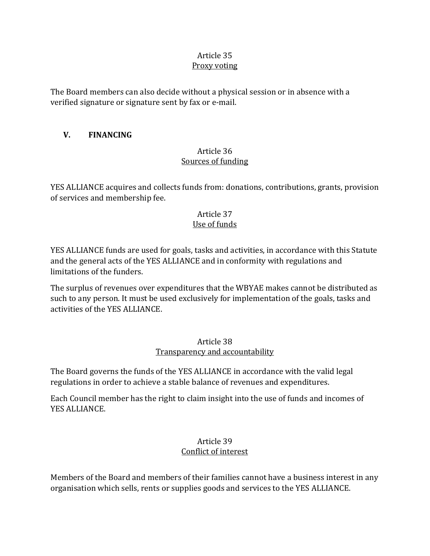#### Article 35 Proxy voting

The Board members can also decide without a physical session or in absence with a verified signature or signature sent by fax or e-mail.

## **V. FINANCING**

## Article 36 Sources of funding

YES ALLIANCE acquires and collects funds from: donations, contributions, grants, provision of services and membership fee.

#### Article 37 Use of funds

YES ALLIANCE funds are used for goals, tasks and activities, in accordance with this Statute and the general acts of the YES ALLIANCE and in conformity with regulations and limitations of the funders.

The surplus of revenues over expenditures that the WBYAE makes cannot be distributed as such to any person. It must be used exclusively for implementation of the goals, tasks and activities of the YES ALLIANCE.

## Article 38 Transparency and accountability

The Board governs the funds of the YES ALLIANCE in accordance with the valid legal regulations in order to achieve a stable balance of revenues and expenditures.

Each Council member has the right to claim insight into the use of funds and incomes of YES ALLIANCE.

## Article 39 Conflict of interest

Members of the Board and members of their families cannot have a business interest in any organisation which sells, rents or supplies goods and services to the YES ALLIANCE.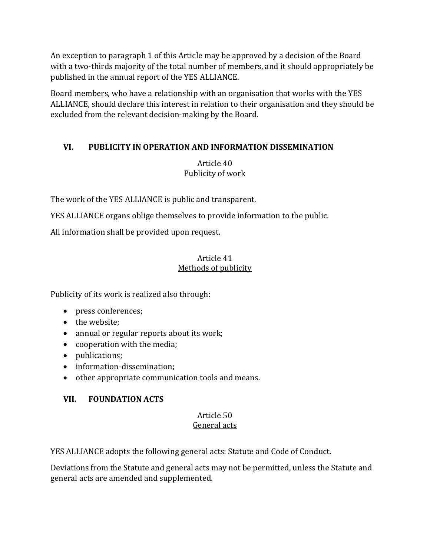An exception to paragraph 1 of this Article may be approved by a decision of the Board with a two-thirds majority of the total number of members, and it should appropriately be published in the annual report of the YES ALLIANCE.

Board members, who have a relationship with an organisation that works with the YES ALLIANCE, should declare this interest in relation to their organisation and they should be excluded from the relevant decision-making by the Board.

## **VI. PUBLICITY IN OPERATION AND INFORMATION DISSEMINATION**

## Article 40 Publicity of work

The work of the YES ALLIANCE is public and transparent.

YES ALLIANCE organs oblige themselves to provide information to the public.

All information shall be provided upon request.

## Article 41 Methods of publicity

Publicity of its work is realized also through:

- press conferences;
- the website;
- annual or regular reports about its work;
- cooperation with the media;
- publications;
- information-dissemination;
- other appropriate communication tools and means.

# **VII. FOUNDATION ACTS**

#### Article 50 General acts

YES ALLIANCE adopts the following general acts: Statute and Code of Conduct.

Deviations from the Statute and general acts may not be permitted, unless the Statute and general acts are amended and supplemented.